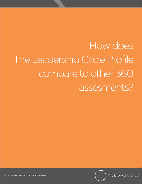# How does The Leadership Circle Profile compare to other 360 assesments?



©The Leadership Circle® | All Rights Reserved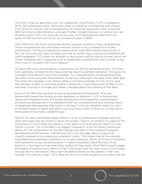This short write-up describes how The Leadership Circle Profile (TLCP) compares to other 360 assessment tools. Obviously, there is a plethora of leadership instruments from which to choose, and a comparison to all would be impossible. Most of the big 360 instruments (Benchmarks, Lominger, Profiler, Zenger-Folkman, to name a few) are all quite similar. Thus, this write-up will say how TLCP distinguishes itself from this genre of 360 tool and will not try to compare to each in detail.

Most 360 tools, like those mentioned above, measure a battery of key competencies. These competencies are well researched and shown to be correlated to business performance. The key competencies measured by these 360's are all quite similar. In fact, for the most part, each of these tools are so similar they could be considered to be interchangeable. TLCP does not attempt to distinguish itself by having a more robust set of key competencies. It measures a list of leadership competencies that is similar to the one's most of the good 360 tools measure.

All good 360 tools use normative comparisons, but do not percentile scores. The other tools generally compare to the mean and may report a standard deviation. This gives the manager some sense of how they compare. TLC uses percentile scores because they facilitate a more accurate interpretation of the true meaning in the data—that often gets lost when the manager is two tenths below a normative average of 4.25. In this case, the manager is likely to conclude he/she is doing OK. A percentile score of 39% (in this example) is simply a stronger and clearer message about the meaning of the data.

None of the 360 tools are built around a developmental framework. They are behaviorally based and simply provide feedback on behavior. TLCP is theoretically dense and integrates many of the best frameworks from leadership, psychological, and spiritual development. It is represents the first comprehensive and unifying theory of leadership development that exists in the field. TLCP can therefore meet the client on multiple layers of depth and allows the coach/consultant to draw on a multitude of frameworks to facilitate a breakthrough.

Most of the 360 instruments report results in a list (competencies arranged vertically down the page with bar charts to show the scores). There is no attempt to organize this information so as to distill the patterns in the data. TLCP arranges the data in a circle (within a circle). The circle itself is an elegant integration of all the theory mentioned above. So, the organization of the data displays the data in the context of powerful developmental frameworks, Furthermore, the circle arranges data in a way that visually represents the underlying correlation matrix. This means that all the relevant interrelationships between dimensions is visually displayed. When all of this is combined with percentile scores, the presentation of data immediately identifies the critical patterns in the data and naturally leads toward the key issues. Most 360's present pages and pages of question level detail so that, if the coach and the client know how to wade through all this information, they might be able to ferret out the pattern in the—see through it for the key issues. TLCP does all this much more elegantly and without all the

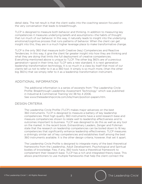detail data. The net result is that the client walks into the coaching session focused on the very conversation that leads to breakthrough.

TLCP is designed to measure both behavior and thinking. In addition to measuring key competencies it measures underlying beliefs and assumptions—the habits of thought that run much of our behavior. In this way, it naturally leads to insight into the underlying emotional/cognitive process that runs patterns of behavior. When the client can get insight into this, they are in a much higher leverage place to make transformative change.

TLCP is the only 360 that measure both Creative (key) Competencies and Reactive Tendencies. In this way, it give the client far greater insight into how they are thinking and what they are doing that limits the full deployment of creative competencies. Everything mentioned above is unique to TLCP. The other big 360's are of a previous generation—good in their time, but TLCP sets a new standard. It is next generation leadership transformation technology. It is so much in a class by itself that most of our clients tell us not to refer to it as a 360 tool. It simply is so much more, (than the other big 360's) that we simply refer to it as a leadership transformation instrument.

#### ADDITIONAL INFORMATION

The additional information is a series of excerpts from "The Leadership Circle Profile: Breakthrough Leadership Assessment Technology" which was published in Industrial & Commercial Training Vol 38 No 4 2006. See www.theleadershipcircle.com/site/main/position-papers.htm.

#### DESIGN CRITERIA

The Leadership Circle Profile (TLCP) makes major advances on the best 360 instruments. TLCP is designed to measure a battery of key leadership competencies. Most high quality 360 instruments have a solid research base and measure competencies shown to relate well to leadership effectiveness and to outcomes important to business. TLCP was designed to do this as well as any tool on the market. In the recent book, Extraordinary Leaders, Zenger and Folkman state that the research on leadership competencies can be boiled down to 16 key competencies that significantly enhance leadership effectiveness. TLCP measures a strikingly similar set of key competencies and establishes itself among the best 360 instruments available. It is the other design criteria, however, that set it apart.

The Leadership Circle Profile is designed to integrate many of the best theoretical frameworks from the Leadership, Adult Development, Psychological and Spiritual bodies of knowledge. Few, if any, 360 tools have a theoretical framework to complement their research base. TLCP has a rich and integrated theory base. This allows practitioners to use multiple frameworks that help the client connect the

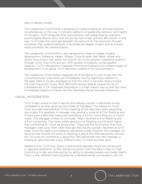data to deeper insight.

The Leadership Circle Profile is designed to measure behavior and assumptions simultaneously. In this way, it connects patterns of leadership behavior with habits of thoughts. TLCP measures inner assumptions, well researched by cognitive psychologists (Burns, Ellis), that are giving rise to high and low 360 results. In this way, TLCP helps the client get beneath the behavior to the automatic thought processes that underlie behavior. It facilitates far deeper insight, and as a result, more possibility for transformation.

The Leadership Circle Profile is also designed to measure stages of adult development. Koleburg, Kegan, Gilligan, Cook-Grueter, Hall, Beck, Wilber and others have shown that adults can evolve into more complex "operating systems" through which they think and act. With greater complexity comes greater capacity. TLCP is designed to measure thinking and behavior at multiple stages of development. In so doing, TLCP becomes a platform for transformation.

The Leadership Circle Profile integrates all of the above in such a way that the consultant/coach and client can immediately see the significant patterns in the data. Data is visually displayed so that the client is naturally drawn toward the most important issues. Most 360 tools display data as sequential list of competencies. TLCP organizes information in a high impact way so that the client immediately begins to inquire into the interrelationships between behaviors.

### VISUAL INTEGRATION

TLCP is also unique in that it reports and displays results in percentile scores compared to an ever-growing norm base of managers. This allows for much more accurate interpretation of the meaning of the data than does presenting raw scores. For example: A manager may receive a score of 4.0 for Relating and, if there were a 360 that measured controlling, a 3.0 for Controlling (on a 5 point scale). This manager is likely to conclude, "Well, I received a 4 on Relating and a 3 on Controlling. That looks pretty good to me. Relating is a full point higher than controlling so I must be doing okay." These are the conclusions that most managers walk away from when they get 360 results typically reported on a 5.0 scale. Once this data is converted to percentile scores however, the manager will discover that his/her 4.0 score on Relating is about the 45th percentile, and his/ her 3.0 score for controlling is about the 75th percentile. Now the manager is looking at data that tells a very different story—a more accurate story.

Added to this, TLCP then draws a relationship between those two dimensions in opposite quadrants, so the natural conclusion from the data is that my high Controlling scores are interrupting my ability to develop people and create teams. That's a very different starting place for a developmental conversation with the